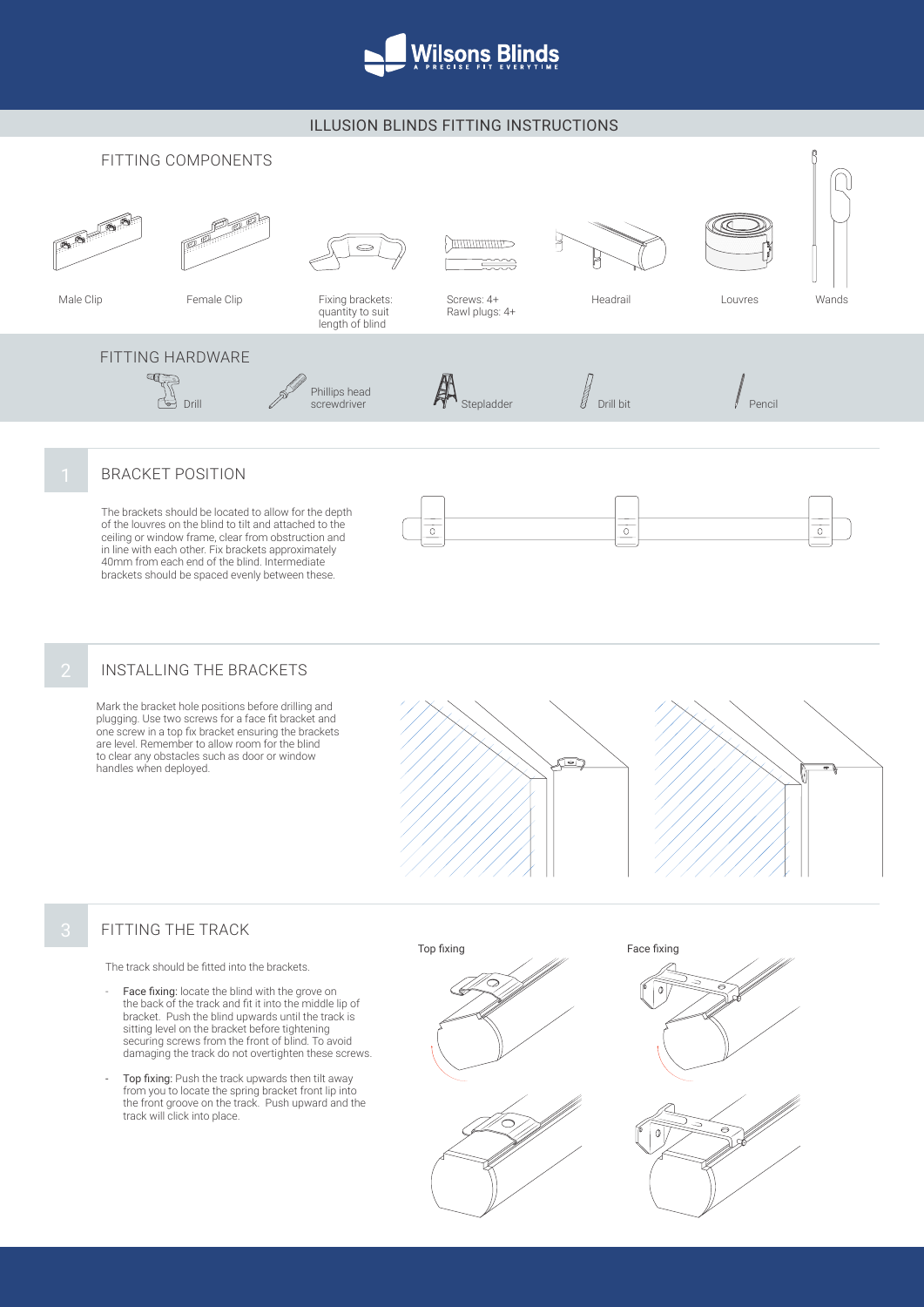

### ILLUSION BLINDS FITTING INSTRUCTIONS



## BRACKET POSITION

The brackets should be located to allow for the depth of the louvres on the blind to tilt and attached to the ceiling or window frame, clear from obstruction and in line with each other. Fix brackets approximately 40mm from each end of the blind. Intermediate brackets should be spaced evenly between these.



## INSTALLING THE BRACKETS

Mark the bracket hole positions before drilling and plugging. Use two screws for a face fit bracket and one screw in a top fix bracket ensuring the brackets are level. Remember to allow room for the blind to clear any obstacles such as door or window handles when deployed.





#### FITTING THE TRACK

The track should be fitted into the brackets.

- Face fixing: locate the blind with the grove on the back of the track and fit it into the middle lip of bracket. Push the blind upwards until the track is sitting level on the bracket before tightening securing screws from the front of blind. To avoid damaging the track do not overtighten these screws.
- Top fixing: Push the track upwards then tilt away from you to locate the spring bracket front lip into the front groove on the track. Push upward and the track will click into place.